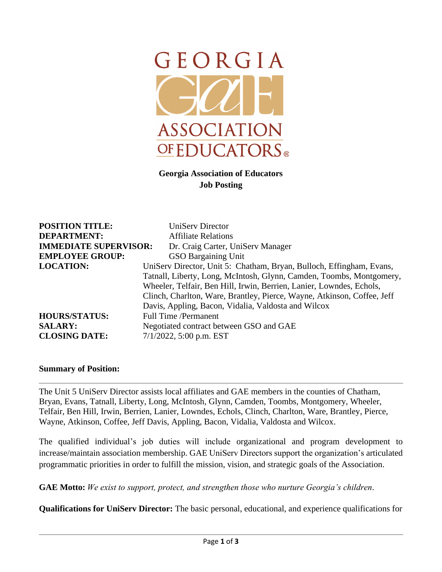

## **Georgia Association of Educators Job Posting**

| <b>POSITION TITLE:</b>       | UniServ Director                                                        |
|------------------------------|-------------------------------------------------------------------------|
| <b>DEPARTMENT:</b>           | <b>Affiliate Relations</b>                                              |
| <b>IMMEDIATE SUPERVISOR:</b> | Dr. Craig Carter, UniServ Manager                                       |
| <b>EMPLOYEE GROUP:</b>       | <b>GSO Bargaining Unit</b>                                              |
| <b>LOCATION:</b>             | UniServ Director, Unit 5: Chatham, Bryan, Bulloch, Effingham, Evans,    |
|                              | Tatnall, Liberty, Long, McIntosh, Glynn, Camden, Toombs, Montgomery,    |
|                              | Wheeler, Telfair, Ben Hill, Irwin, Berrien, Lanier, Lowndes, Echols,    |
|                              | Clinch, Charlton, Ware, Brantley, Pierce, Wayne, Atkinson, Coffee, Jeff |
|                              | Davis, Appling, Bacon, Vidalia, Valdosta and Wilcox                     |
| <b>HOURS/STATUS:</b>         | Full Time / Permanent                                                   |
| <b>SALARY:</b>               | Negotiated contract between GSO and GAE                                 |
| <b>CLOSING DATE:</b>         | $7/1/2022$ , 5:00 p.m. EST                                              |

## **Summary of Position:**

The Unit 5 UniServ Director assists local affiliates and GAE members in the counties of Chatham, Bryan, Evans, Tatnall, Liberty, Long, McIntosh, Glynn, Camden, Toombs, Montgomery, Wheeler, Telfair, Ben Hill, Irwin, Berrien, Lanier, Lowndes, Echols, Clinch, Charlton, Ware, Brantley, Pierce, Wayne, Atkinson, Coffee, Jeff Davis, Appling, Bacon, Vidalia, Valdosta and Wilcox.

The qualified individual's job duties will include organizational and program development to increase/maintain association membership. GAE UniServ Directors support the organization's articulated programmatic priorities in order to fulfill the mission, vision, and strategic goals of the Association.

**GAE Motto:** *We exist to support, protect, and strengthen those who nurture Georgia's children.*

**Qualifications for UniServ Director:** The basic personal, educational, and experience qualifications for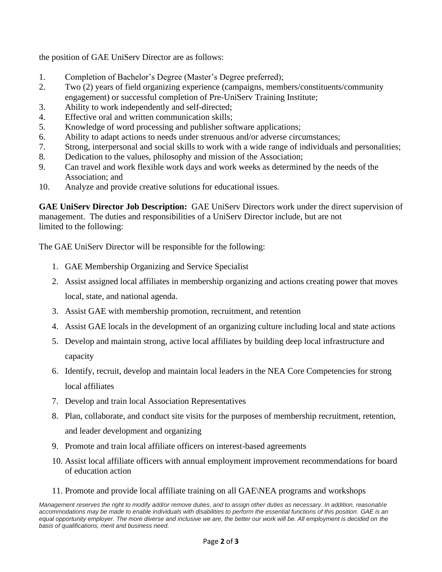the position of GAE UniServ Director are as follows:

- 1. Completion of Bachelor's Degree (Master's Degree preferred);
- 2. Two (2) years of field organizing experience (campaigns, members/constituents/community engagement) or successful completion of Pre-UniServ Training Institute;
- 3. Ability to work independently and self-directed;
- 4. Effective oral and written communication skills;
- 5. Knowledge of word processing and publisher software applications;
- 6. Ability to adapt actions to needs under strenuous and/or adverse circumstances;
- 7. Strong, interpersonal and social skills to work with a wide range of individuals and personalities;
- 8. Dedication to the values, philosophy and mission of the Association;
- 9. Can travel and work flexible work days and work weeks as determined by the needs of the Association; and
- 10. Analyze and provide creative solutions for educational issues.

**GAE UniServ Director Job Description:** GAE UniServ Directors work under the direct supervision of management. The duties and responsibilities of a UniServ Director include, but are not limited to the following:

The GAE UniServ Director will be responsible for the following:

- 1. GAE Membership Organizing and Service Specialist
- 2. Assist assigned local affiliates in membership organizing and actions creating power that moves local, state, and national agenda.
- 3. Assist GAE with membership promotion, recruitment, and retention
- 4. Assist GAE locals in the development of an organizing culture including local and state actions
- 5. Develop and maintain strong, active local affiliates by building deep local infrastructure and capacity
- 6. Identify, recruit, develop and maintain local leaders in the NEA Core Competencies for strong local affiliates
- 7. Develop and train local Association Representatives
- 8. Plan, collaborate, and conduct site visits for the purposes of membership recruitment, retention, and leader development and organizing
- 9. Promote and train local affiliate officers on interest-based agreements
- 10. Assist local affiliate officers with annual employment improvement recommendations for board of education action
- 11. Promote and provide local affiliate training on all GAE\NEA programs and workshops

*Management reserves the right to modify add/or remove duties, and to assign other duties as necessary. In addition, reasonable accommodations may be made to enable individuals with disabilities to perform the essential functions of this position. GAE is an*  equal opportunity employer. The more diverse and inclusive we are, the better our work will be. All employment is decided on the *basis of qualifications, merit and business need.*